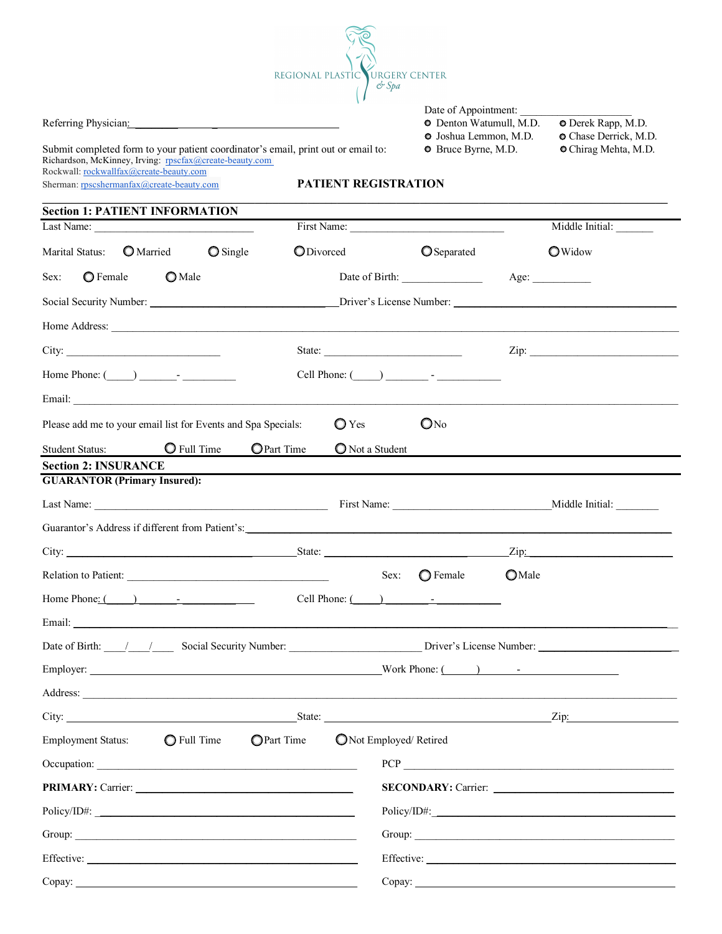

| Date of Appointment: |  |
|----------------------|--|
|----------------------|--|

Referring Physician: \_\_\_\_\_\_\_\_ \_ Denton Watumull, M.D. Derek Rapp, M.D.  $\bullet$  Joshua Lemmon, M.D.  $\bullet$  Chase Derrick, M.D.

Submit completed form to your patient coordinator's email, print out or email to:  $\bullet$  Bruce Byrne, M.D.  $\bullet$  Chirag Mehta, M.D. Richardson, McKinney, Irving: rpscfax@create-beauty.com Rockwall: rockwallfax@create-beauty.com Sherman: rpscshermanfax@create-beauty.com **PATIENT REGISTRATION**

# **Section 1: PATIENT INFORMATION** Last Name: The Contract Name: The Contract Name: The Contract Name: Middle Initial: Middle Initial: Last Name:  $\Box$  Middle Initial:  $\Box$ Marital Status: O Married C Single C Divorced C Separated C Widow Sex: O Female O Male Date of Birth: Age: Age: Social Security Number: <br>  $\Box$  Driver's License Number:  $\Box$ Home Address: \_\_\_\_\_\_\_\_\_\_\_\_\_\_\_\_\_\_\_\_\_\_\_\_\_\_\_\_\_\_\_\_\_\_\_\_\_\_\_\_\_\_\_\_\_\_\_\_\_\_\_\_\_\_\_\_\_\_\_\_\_\_\_\_\_\_\_\_\_\_\_\_\_\_\_\_\_\_\_\_\_\_\_\_\_\_\_\_\_\_\_\_\_\_\_\_\_\_\_\_\_\_\_\_\_\_\_ City: \_\_\_\_\_\_\_\_\_\_\_\_\_\_\_\_\_\_\_\_\_\_\_\_\_\_\_\_\_ State: \_\_\_\_\_\_\_\_\_\_\_\_\_\_\_\_\_\_\_\_\_\_\_\_\_\_ Zip: \_\_\_\_\_\_\_\_\_\_\_\_\_\_\_\_\_\_\_\_\_\_\_\_\_\_\_\_ Home Phone: (\_\_\_\_\_) \_\_\_\_\_\_\_- \_\_\_\_\_\_\_\_\_\_ Cell Phone: (\_\_\_\_\_) \_\_\_\_\_\_\_\_ - \_\_\_\_\_\_\_\_\_\_\_\_ Email: \_\_\_\_\_\_\_\_\_\_\_\_\_\_\_\_\_\_\_\_\_\_\_\_\_\_\_\_\_\_\_\_\_\_\_\_\_\_\_\_\_\_\_\_\_\_\_\_\_\_\_\_\_\_\_\_\_\_\_\_\_\_\_\_\_\_\_\_\_\_\_\_\_\_\_\_\_\_\_\_\_\_\_\_\_\_\_\_\_\_\_\_\_\_\_\_\_\_\_\_\_\_\_\_\_\_\_\_\_\_\_\_\_\_ Please add me to your email list for Events and Spa Specials:  $\bigcirc$  Yes  $\bigcirc$  No Student Status:  $\bigcirc$  Full Time  $\bigcirc$  Part Time  $\bigcirc$  Not a Student

| <b>Section 2: INSURANCE</b>         |  |
|-------------------------------------|--|
| <b>GUARANTOR (Primary Insured):</b> |  |
|                                     |  |

| $\frac{1}{2}$                                                                                                                                                                                                                  |                                                                                                                                                                                                                                                                                                                                                                                                              |                                                                                                                                                                                                                                                                                                                                                                                                                        |                 |  |
|--------------------------------------------------------------------------------------------------------------------------------------------------------------------------------------------------------------------------------|--------------------------------------------------------------------------------------------------------------------------------------------------------------------------------------------------------------------------------------------------------------------------------------------------------------------------------------------------------------------------------------------------------------|------------------------------------------------------------------------------------------------------------------------------------------------------------------------------------------------------------------------------------------------------------------------------------------------------------------------------------------------------------------------------------------------------------------------|-----------------|--|
|                                                                                                                                                                                                                                |                                                                                                                                                                                                                                                                                                                                                                                                              | First Name:                                                                                                                                                                                                                                                                                                                                                                                                            | Middle Initial: |  |
| Guarantor's Address if different from Patient's: ________________________________                                                                                                                                              |                                                                                                                                                                                                                                                                                                                                                                                                              |                                                                                                                                                                                                                                                                                                                                                                                                                        |                 |  |
|                                                                                                                                                                                                                                | State: $\frac{1}{\sqrt{1-\frac{1}{2}}\sqrt{1-\frac{1}{2}}\sqrt{1-\frac{1}{2}}\sqrt{1-\frac{1}{2}}\sqrt{1-\frac{1}{2}}\sqrt{1-\frac{1}{2}}\sqrt{1-\frac{1}{2}}\sqrt{1-\frac{1}{2}}\sqrt{1-\frac{1}{2}}\sqrt{1-\frac{1}{2}}\sqrt{1-\frac{1}{2}}\sqrt{1-\frac{1}{2}}\sqrt{1-\frac{1}{2}}\sqrt{1-\frac{1}{2}}\sqrt{1-\frac{1}{2}}\sqrt{1-\frac{1}{2}}\sqrt{1-\frac{1}{2}}\sqrt{1-\frac{1}{2}}\sqrt{1-\frac{1}{2$ |                                                                                                                                                                                                                                                                                                                                                                                                                        | $\chi$ ip:      |  |
| Relation to Patient:                                                                                                                                                                                                           |                                                                                                                                                                                                                                                                                                                                                                                                              | Sex: $\bigcirc$ Female                                                                                                                                                                                                                                                                                                                                                                                                 | $\bigcirc$ Male |  |
|                                                                                                                                                                                                                                |                                                                                                                                                                                                                                                                                                                                                                                                              | Cell Phone: $\overline{(-)}$ $\overline{(-)}$ $\overline{(-)}$ $\overline{(-)}$ $\overline{(-)}$ $\overline{(-)}$ $\overline{(-)}$ $\overline{(-)}$ $\overline{(-)}$ $\overline{(-)}$ $\overline{(-)}$ $\overline{(-)}$ $\overline{(-)}$ $\overline{(-)}$ $\overline{(-)}$ $\overline{(-)}$ $\overline{(-)}$ $\overline{(-)}$ $\overline{(-)}$ $\overline{(-)}$ $\overline{(-)}$ $\overline{(-)}$ $\overline{(-)}$ $\$ |                 |  |
| Email: Email: Email: Email: Email: Email: Email: Email: Email: Email: Email: Email: Email: Email: Email: Email: Email: Email: Email: Email: Email: Email: Email: Email: Email: Email: Email: Email: Email: Email: Email: Email |                                                                                                                                                                                                                                                                                                                                                                                                              |                                                                                                                                                                                                                                                                                                                                                                                                                        |                 |  |

 $D_{\text{min}}$   $D_{\text{min}}$   $D_{\text{min}}$   $D_{\text{min}}$   $D_{\text{min}}$   $D_{\text{min}}$   $D_{\text{min}}$   $D_{\text{min}}$   $D_{\text{min}}$   $D_{\text{min}}$   $D_{\text{min}}$   $D_{\text{min}}$   $D_{\text{min}}$   $D_{\text{min}}$   $D_{\text{min}}$   $D_{\text{min}}$   $D_{\text{min}}$   $D_{\text{min}}$   $D_{\text{min}}$   $D_{\text{min}}$   $D_{\text{min}}$   $D_{\text{min}}$ 

|                                                                    |  | Driver s License Number: Driver s License Number: Driver S License Number: 2008. [19] Driver S License Number: |  |
|--------------------------------------------------------------------|--|----------------------------------------------------------------------------------------------------------------|--|
|                                                                    |  |                                                                                                                |  |
|                                                                    |  |                                                                                                                |  |
|                                                                    |  | City: <u>Zip:</u> Zip: Zip:                                                                                    |  |
| Employment Status: C Full Time C Part Time C Not Employed/ Retired |  |                                                                                                                |  |
|                                                                    |  |                                                                                                                |  |
|                                                                    |  | SECONDARY: Carrier:                                                                                            |  |
| Policy/ID#:                                                        |  |                                                                                                                |  |
|                                                                    |  |                                                                                                                |  |
|                                                                    |  |                                                                                                                |  |
|                                                                    |  |                                                                                                                |  |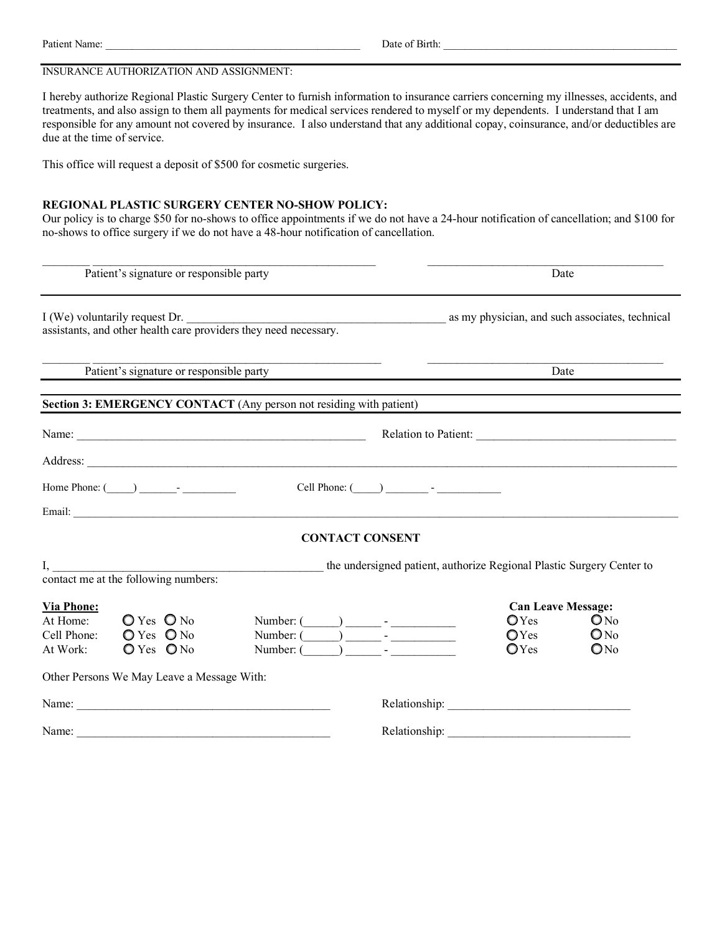| Patient      | Date)    |
|--------------|----------|
| $\mathbf{r}$ | Birth:   |
| Name:        | $\Omega$ |
| .            |          |

### INSURANCE AUTHORIZATION AND ASSIGNMENT:

I hereby authorize Regional Plastic Surgery Center to furnish information to insurance carriers concerning my illnesses, accidents, and treatments, and also assign to them all payments for medical services rendered to myself or my dependents. I understand that I am responsible for any amount not covered by insurance. I also understand that any additional copay, coinsurance, and/or deductibles are due at the time of service.

This office will request a deposit of \$500 for cosmetic surgeries.

#### **REGIONAL PLASTIC SURGERY CENTER NO-SHOW POLICY:**

Our policy is to charge \$50 for no-shows to office appointments if we do not have a 24-hour notification of cancellation; and \$100 for no-shows to office surgery if we do not have a 48-hour notification of cancellation.

 $\_$  , and the set of the set of the set of the set of the set of the set of the set of the set of the set of the set of the set of the set of the set of the set of the set of the set of the set of the set of the set of th

|                                                          | Patient's signature or responsible party                                                        |                                                                                                 | Date                                                                              |                                                       |  |
|----------------------------------------------------------|-------------------------------------------------------------------------------------------------|-------------------------------------------------------------------------------------------------|-----------------------------------------------------------------------------------|-------------------------------------------------------|--|
|                                                          |                                                                                                 | I (We) voluntarily request Dr. assistants, and other health care providers they need necessary. |                                                                                   |                                                       |  |
|                                                          | Patient's signature or responsible party                                                        |                                                                                                 | Date                                                                              |                                                       |  |
|                                                          | Section 3: EMERGENCY CONTACT (Any person not residing with patient)                             |                                                                                                 |                                                                                   |                                                       |  |
|                                                          |                                                                                                 |                                                                                                 |                                                                                   | Relation to Patient:                                  |  |
|                                                          |                                                                                                 | Address:                                                                                        |                                                                                   |                                                       |  |
|                                                          | Home Phone: $\qquad \qquad$                                                                     | Cell Phone: $(\_\_)$ $\_\_$ - $\_\_$                                                            |                                                                                   |                                                       |  |
|                                                          |                                                                                                 |                                                                                                 |                                                                                   |                                                       |  |
|                                                          |                                                                                                 | <b>CONTACT CONSENT</b>                                                                          |                                                                                   |                                                       |  |
| I,                                                       | contact me at the following numbers:                                                            | the undersigned patient, authorize Regional Plastic Surgery Center to                           |                                                                                   |                                                       |  |
| <b>Via Phone:</b><br>At Home:<br>Cell Phone:<br>At Work: | $O$ Yes $O$ No<br>$O Yes$ $O No$<br>$O Yes$ $ONo$<br>Other Persons We May Leave a Message With: | Number: $(\_\_)$ $\_\_$ -<br>Number: $($ $)$ $)$ $ -$                                           | <b>Can Leave Message:</b><br>$\bigcirc$ Yes<br>$\bigcirc$ Yes<br>$\mathbf{O}$ Yes | ON <sub>0</sub><br>$\mathbb{O}N^0$<br>ON <sub>0</sub> |  |
|                                                          |                                                                                                 |                                                                                                 |                                                                                   |                                                       |  |
|                                                          |                                                                                                 |                                                                                                 |                                                                                   |                                                       |  |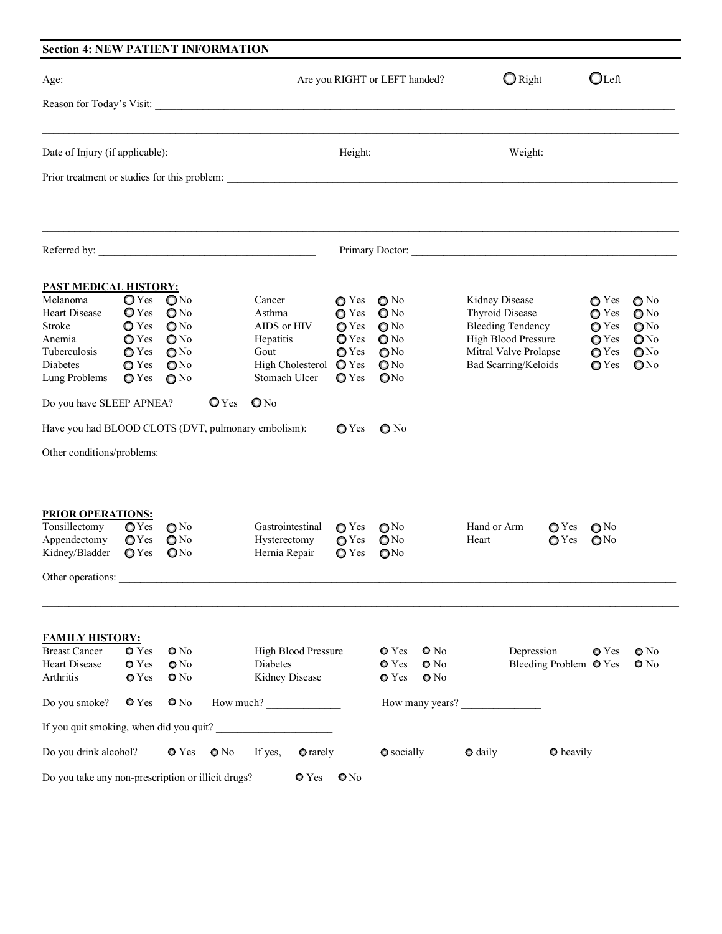|                                                                                                                                                                                                                                                                 | Age:                             |                                  |                  |                                                      |                                  | Are you RIGHT or LEFT handed?      | $\bigcirc$ Right                       | $O$ Left                             |
|-----------------------------------------------------------------------------------------------------------------------------------------------------------------------------------------------------------------------------------------------------------------|----------------------------------|----------------------------------|------------------|------------------------------------------------------|----------------------------------|------------------------------------|----------------------------------------|--------------------------------------|
| Reason for Today's Visit:                                                                                                                                                                                                                                       |                                  |                                  |                  |                                                      |                                  |                                    |                                        |                                      |
|                                                                                                                                                                                                                                                                 |                                  |                                  |                  |                                                      |                                  |                                    |                                        |                                      |
|                                                                                                                                                                                                                                                                 |                                  |                                  |                  |                                                      |                                  |                                    |                                        |                                      |
| Referred by:                                                                                                                                                                                                                                                    |                                  |                                  |                  |                                                      |                                  |                                    | Primary Doctor:                        |                                      |
| <b>PAST MEDICAL HISTORY:</b>                                                                                                                                                                                                                                    |                                  |                                  |                  |                                                      |                                  |                                    |                                        |                                      |
| Melanoma                                                                                                                                                                                                                                                        | $\mathbb{O}$ Yes                 | $\mathbf{O}$ No                  |                  | Cancer                                               | $\bullet$ Yes                    | $\bigcirc$ No                      | Kidney Disease                         | $\bullet$ Yes<br>$\bigcirc$ No       |
| <b>Heart Disease</b>                                                                                                                                                                                                                                            | $\mathbb{O}$ Yes                 | $\bigcirc$ No                    |                  | Asthma                                               | $\bullet$ Yes                    | $\bigcirc$ No                      | <b>Thyroid Disease</b>                 | $\bullet$ Yes<br>$\bigcirc$ No       |
| Stroke                                                                                                                                                                                                                                                          | <b>O</b> Yes                     | $\bigcirc$ No                    |                  | AIDS or HIV                                          | $\bigcirc$ Yes                   | $\bigcirc$ No                      | <b>Bleeding Tendency</b>               | $\bigcirc$ Yes<br>O <sub>No</sub>    |
| Anemia                                                                                                                                                                                                                                                          | $\bigcirc$ Yes                   | $\bigcirc$ No                    |                  | Hepatitis                                            | $\bigcirc$ Yes                   | $\bigcirc$ No                      | High Blood Pressure                    | $\bigcirc$ Yes<br>$\mathbb{O}^{N_0}$ |
| <b>Tuberculosis</b>                                                                                                                                                                                                                                             | $\bigcirc$ Yes                   | $\bigcirc$ No                    |                  | Gout                                                 | $\bigcirc$ Yes                   | $\mathbb{O}^{N_0}$                 | Mitral Valve Prolapse                  | $\bigcirc$ Yes<br>$Q$ No             |
| Diabetes                                                                                                                                                                                                                                                        | $\bigcirc$ Yes                   | $\mathbf{O}$ No                  |                  | High Cholesterol $\bullet$ Yes                       |                                  | QN <sub>0</sub>                    | Bad Scarring/Keloids                   | QN <sub>0</sub><br>$\bigcirc$ Yes    |
| Lung Problems                                                                                                                                                                                                                                                   | $\bigcirc$ Yes                   | $\bigcirc$ No                    |                  | Stomach Ulcer                                        | $\bigcirc$ Yes                   | QN <sub>0</sub>                    |                                        |                                      |
| Do you have SLEEP APNEA?                                                                                                                                                                                                                                        |                                  |                                  | $\mathbf{O}$ Yes | $\mathbf{O}$ No                                      |                                  |                                    |                                        |                                      |
|                                                                                                                                                                                                                                                                 |                                  |                                  |                  |                                                      |                                  |                                    |                                        |                                      |
|                                                                                                                                                                                                                                                                 |                                  |                                  |                  |                                                      | $\bigcirc$ Yes                   | $\bigcirc$ No                      |                                        |                                      |
|                                                                                                                                                                                                                                                                 |                                  |                                  |                  |                                                      |                                  |                                    |                                        |                                      |
|                                                                                                                                                                                                                                                                 |                                  |                                  |                  |                                                      |                                  |                                    |                                        |                                      |
|                                                                                                                                                                                                                                                                 |                                  |                                  |                  |                                                      |                                  |                                    |                                        |                                      |
|                                                                                                                                                                                                                                                                 | $\bigcirc$ Yes                   | $\bigcirc$ No                    |                  | Gastrointestinal                                     | $\bigcirc$ Yes                   | $\mathbb{O}^{N_0}$                 | Hand or Arm<br>$\bigcirc$ Yes<br>Heart | $\mathbb{O}^{N_0}$                   |
|                                                                                                                                                                                                                                                                 | $\bigcirc$ Yes<br>$\bigcirc$ Yes | $\bigcirc$ No<br>QN <sub>0</sub> |                  | Hysterectomy<br>Hernia Repair                        | $\bigcirc$ Yes<br>$\bigcirc$ Yes | $\mathbb{O}N^0$<br>QN <sub>0</sub> | $\bigcirc$ Yes                         | $\mathbb{O}^{N_0}$                   |
|                                                                                                                                                                                                                                                                 |                                  |                                  |                  |                                                      |                                  |                                    |                                        |                                      |
|                                                                                                                                                                                                                                                                 |                                  |                                  |                  |                                                      |                                  |                                    |                                        |                                      |
|                                                                                                                                                                                                                                                                 |                                  |                                  |                  |                                                      |                                  |                                    |                                        |                                      |
|                                                                                                                                                                                                                                                                 | $\bullet$ Yes                    | $\bullet$ No                     |                  | High Blood Pressure                                  |                                  | $\bullet$ Yes<br>$\bullet$ No      | Depression                             | <b>O</b> Yes                         |
|                                                                                                                                                                                                                                                                 | <b>O</b> Yes                     | $\bullet$ No                     |                  | Diabetes                                             |                                  | <b>O</b> Yes<br>$\bullet$ No       | Bleeding Problem <sup>O</sup> Yes      | $\bullet$ No<br>$\bullet$ No         |
|                                                                                                                                                                                                                                                                 | <b>O</b> Yes                     | $\bullet$ No                     |                  | Kidney Disease                                       |                                  | <b>O</b> Yes<br>$\bullet$ No       |                                        |                                      |
| Have you had BLOOD CLOTS (DVT, pulmonary embolism):<br><b>PRIOR OPERATIONS:</b><br>Tonsillectomy<br>Appendectomy<br>Kidney/Bladder<br>Other operations:<br><b>FAMILY HISTORY:</b><br><b>Breast Cancer</b><br><b>Heart Disease</b><br>Arthritis<br>Do you smoke? | $\bullet$ Yes                    | $\bullet$ No                     |                  | How much?<br>If you quit smoking, when did you quit? |                                  |                                    | How many years?                        |                                      |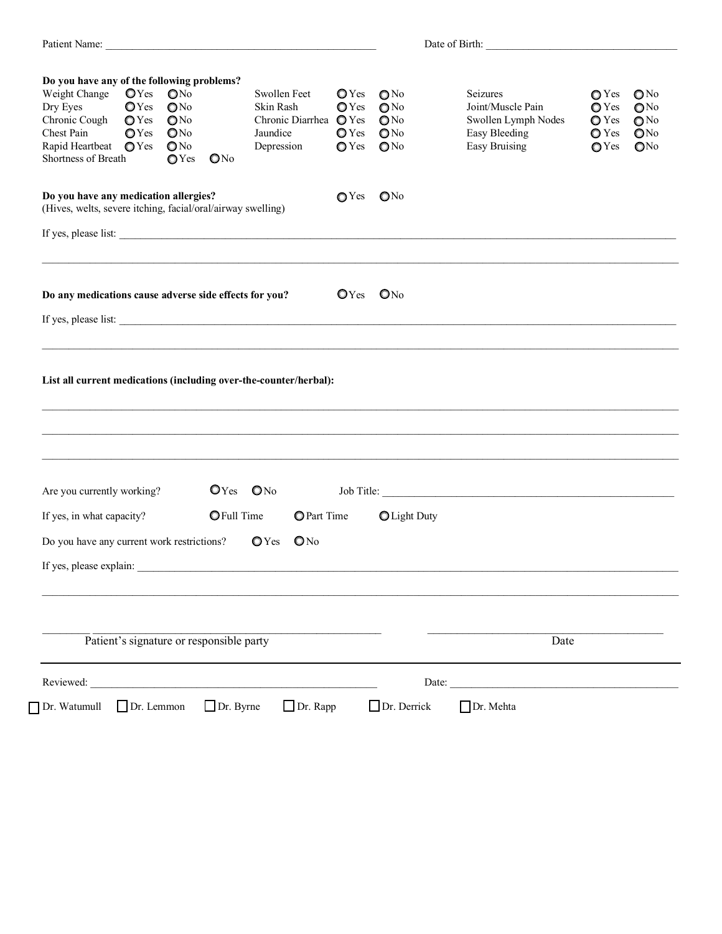| Do you have any of the following problems?                                                            |                                                                                  |                                                                                                        |                                          |                                                                               |                                                                            |                                                                                                |                                                                                        |                                                                                        |                                                                                           |
|-------------------------------------------------------------------------------------------------------|----------------------------------------------------------------------------------|--------------------------------------------------------------------------------------------------------|------------------------------------------|-------------------------------------------------------------------------------|----------------------------------------------------------------------------|------------------------------------------------------------------------------------------------|----------------------------------------------------------------------------------------|----------------------------------------------------------------------------------------|-------------------------------------------------------------------------------------------|
| Weight Change<br>Dry Eyes<br>Chronic Cough<br>Chest Pain<br>Rapid Heartbeat<br>Shortness of Breath    | OYes<br>$\mathbb{O}$ Yes<br>$\bigcirc$ Yes<br>$\mathbb{O}$ Yes<br>$\bigcirc$ Yes | ONo<br>QN <sub>0</sub><br>$\mathbb{O}^{N_0}$<br>QN <sub>0</sub><br>$\mathbb{O}$ No<br>$\mathbb{O}$ Yes | ON <sub>0</sub>                          | Swollen Feet<br>Skin Rash<br>Chronic Diarrhea O Yes<br>Jaundice<br>Depression | $\mathbf{O}$ Yes<br>$\mathbf{O}$ Yes<br>$\bigcirc$ Yes<br>$\mathbb{O}$ Yes | $\mathbb{O}N^0$<br>O <sub>NO</sub><br>QN <sub>0</sub><br>$\mathbb{O}N^0$<br>$\mathbb{O}^{N_0}$ | Seizures<br>Joint/Muscle Pain<br>Swollen Lymph Nodes<br>Easy Bleeding<br>Easy Bruising | $\bigcirc$ Yes<br>$\bigcirc$ Yes<br>$\bigcirc$ Yes<br>$\bigcirc$ Yes<br>$\bigcirc$ Yes | $\bigcirc$ No<br>QN <sub>0</sub><br>O <sub>No</sub><br>QN <sub>0</sub><br>QN <sub>0</sub> |
| Do you have any medication allergies?<br>(Hives, welts, severe itching, facial/oral/airway swelling)  |                                                                                  |                                                                                                        |                                          |                                                                               | $\mathbb{O}$ Yes                                                           | QN <sub>0</sub>                                                                                |                                                                                        |                                                                                        |                                                                                           |
|                                                                                                       |                                                                                  |                                                                                                        |                                          |                                                                               |                                                                            |                                                                                                |                                                                                        |                                                                                        |                                                                                           |
| Do any medications cause adverse side effects for you?                                                |                                                                                  |                                                                                                        |                                          |                                                                               | $OYes$ $ONo$                                                               |                                                                                                |                                                                                        |                                                                                        |                                                                                           |
|                                                                                                       |                                                                                  |                                                                                                        |                                          |                                                                               |                                                                            |                                                                                                |                                                                                        |                                                                                        |                                                                                           |
|                                                                                                       |                                                                                  |                                                                                                        |                                          | List all current medications (including over-the-counter/herbal):             |                                                                            |                                                                                                |                                                                                        |                                                                                        |                                                                                           |
|                                                                                                       |                                                                                  |                                                                                                        | $OYes$ $ONo$                             |                                                                               |                                                                            |                                                                                                |                                                                                        |                                                                                        |                                                                                           |
| Are you currently working?<br>If yes, in what capacity?<br>Do you have any current work restrictions? |                                                                                  |                                                                                                        | <b>O</b> Full Time                       | <b>O</b> Part Time<br>$\bigcirc$ Yes<br>$\mathbf{O}$ No                       |                                                                            | O Light Duty                                                                                   |                                                                                        |                                                                                        |                                                                                           |
|                                                                                                       |                                                                                  |                                                                                                        |                                          |                                                                               |                                                                            |                                                                                                |                                                                                        |                                                                                        |                                                                                           |
|                                                                                                       |                                                                                  |                                                                                                        | Patient's signature or responsible party |                                                                               |                                                                            |                                                                                                | Date                                                                                   |                                                                                        |                                                                                           |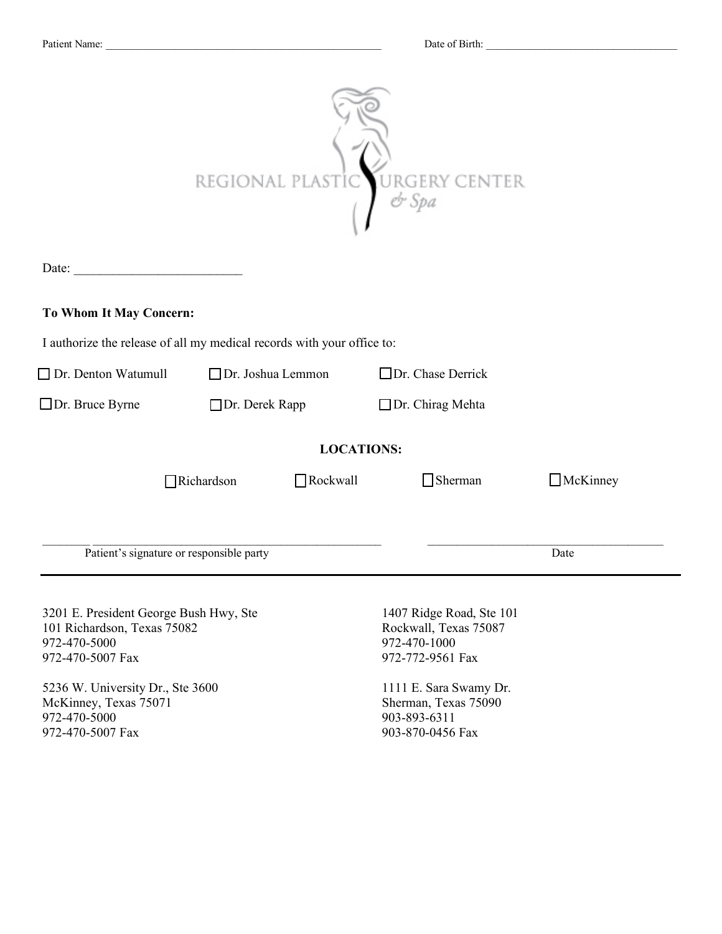| Date:<br>To Whom It May Concern:<br>I authorize the release of all my medical records with your office to:                                                                                                 | REGIONAL PLAS         |                   | RGERY CENTER<br>$Q$ -Spa                                                                                                                                                    |                 |  |  |  |
|------------------------------------------------------------------------------------------------------------------------------------------------------------------------------------------------------------|-----------------------|-------------------|-----------------------------------------------------------------------------------------------------------------------------------------------------------------------------|-----------------|--|--|--|
| $\Box$ Dr. Denton Watumull                                                                                                                                                                                 | □ Dr. Joshua Lemmon   |                   | $\Box$ Dr. Chase Derrick                                                                                                                                                    |                 |  |  |  |
|                                                                                                                                                                                                            |                       |                   |                                                                                                                                                                             |                 |  |  |  |
| $\Box$ Dr. Bruce Byrne                                                                                                                                                                                     | $\Box$ Dr. Derek Rapp |                   | $\Box$ Dr. Chirag Mehta                                                                                                                                                     |                 |  |  |  |
|                                                                                                                                                                                                            |                       | <b>LOCATIONS:</b> |                                                                                                                                                                             |                 |  |  |  |
|                                                                                                                                                                                                            | $\Box$ Richardson     | $\Box$ Rockwall   | $\Box$ Sherman                                                                                                                                                              | $\Box$ McKinney |  |  |  |
| Patient's signature or responsible party                                                                                                                                                                   |                       |                   |                                                                                                                                                                             | Date            |  |  |  |
| 3201 E. President George Bush Hwy, Ste<br>101 Richardson, Texas 75082<br>972-470-5000<br>972-470-5007 Fax<br>5236 W. University Dr., Ste 3600<br>McKinney, Texas 75071<br>972-470-5000<br>972-470-5007 Fax |                       |                   | 1407 Ridge Road, Ste 101<br>Rockwall, Texas 75087<br>972-470-1000<br>972-772-9561 Fax<br>1111 E. Sara Swamy Dr.<br>Sherman, Texas 75090<br>903-893-6311<br>903-870-0456 Fax |                 |  |  |  |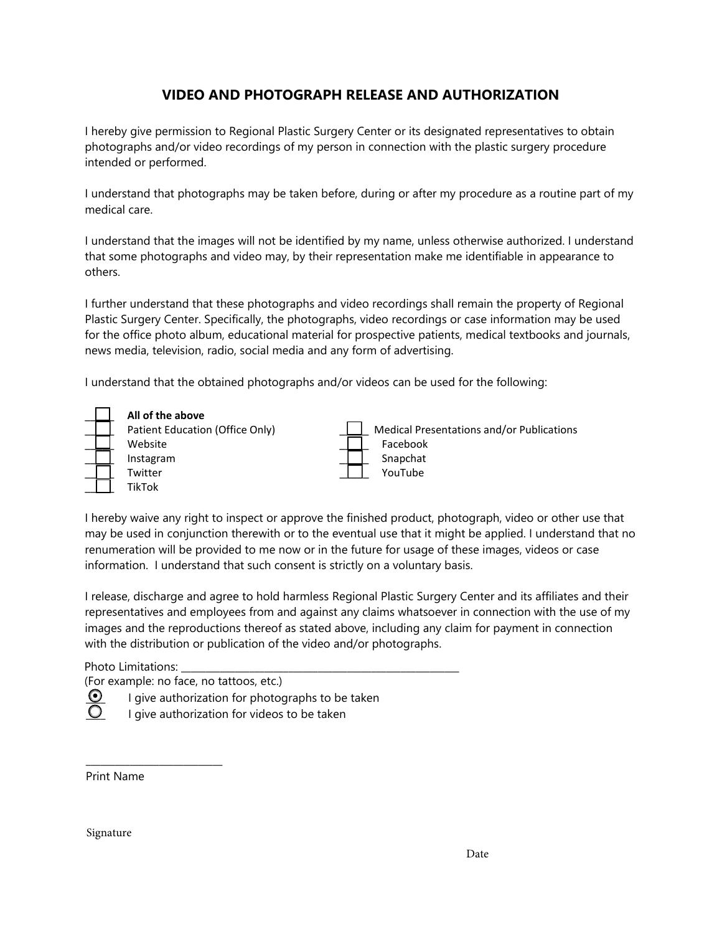# **VIDEO AND PHOTOGRAPH RELEASE AND AUTHORIZATION**

I hereby give permission to Regional Plastic Surgery Center or its designated representatives to obtain photographs and/or video recordings of my person in connection with the plastic surgery procedure intended or performed.

I understand that photographs may be taken before, during or after my procedure as a routine part of my medical care.

I understand that the images will not be identified by my name, unless otherwise authorized. I understand that some photographs and video may, by their representation make me identifiable in appearance to others.

I further understand that these photographs and video recordings shall remain the property of Regional Plastic Surgery Center. Specifically, the photographs, video recordings or case information may be used for the office photo album, educational material for prospective patients, medical textbooks and journals, news media, television, radio, social media and any form of advertising.

I understand that the obtained photographs and/or videos can be used for the following:



I hereby waive any right to inspect or approve the finished product, photograph, video or other use that may be used in conjunction therewith or to the eventual use that it might be applied. I understand that no renumeration will be provided to me now or in the future for usage of these images, videos or case information. I understand that such consent is strictly on a voluntary basis.

I release, discharge and agree to hold harmless Regional Plastic Surgery Center and its affiliates and their representatives and employees from and against any claims whatsoever in connection with the use of my images and the reproductions thereof as stated above, including any claim for payment in connection with the distribution or publication of the video and/or photographs.

Photo Limitations:

 $\frac{1}{2}$  , and the set of the set of the set of the set of the set of the set of the set of the set of the set of the set of the set of the set of the set of the set of the set of the set of the set of the set of the set

(For example: no face, no tattoos, etc.)



 $\frac{1}{\sqrt{2}}$  I give authorization for photographs to be taken<br> $\frac{1}{\sqrt{2}}$  I give authorization for videos to be taken

I give authorization for videos to be taken

Print Name

Signature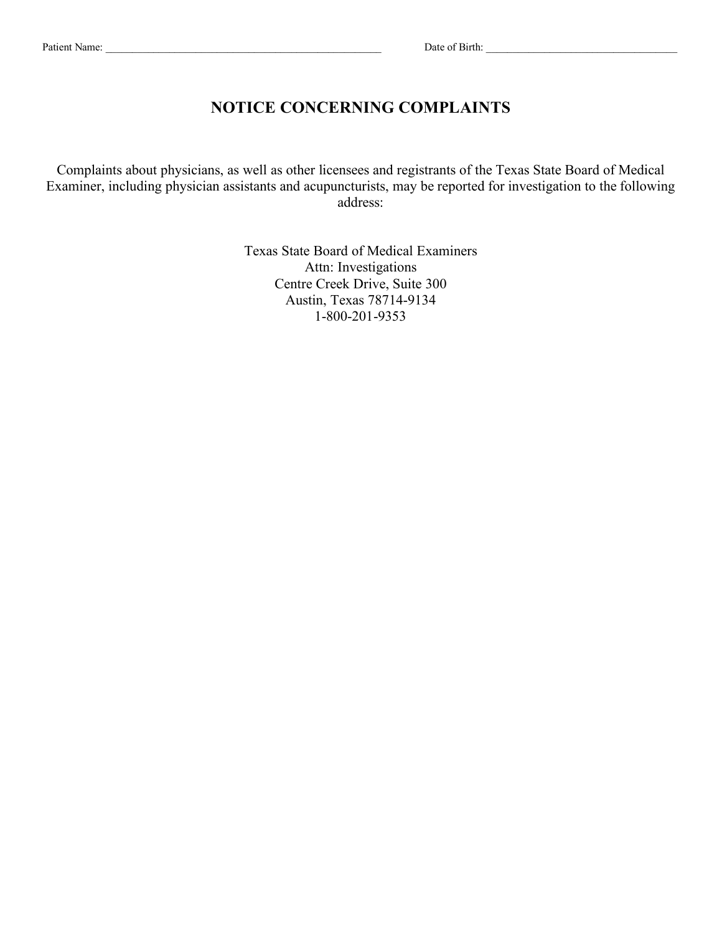# **NOTICE CONCERNING COMPLAINTS**

Complaints about physicians, as well as other licensees and registrants of the Texas State Board of Medical Examiner, including physician assistants and acupuncturists, may be reported for investigation to the following address:

> Texas State Board of Medical Examiners Attn: Investigations Centre Creek Drive, Suite 300 Austin, Texas 78714-9134 1-800-201-9353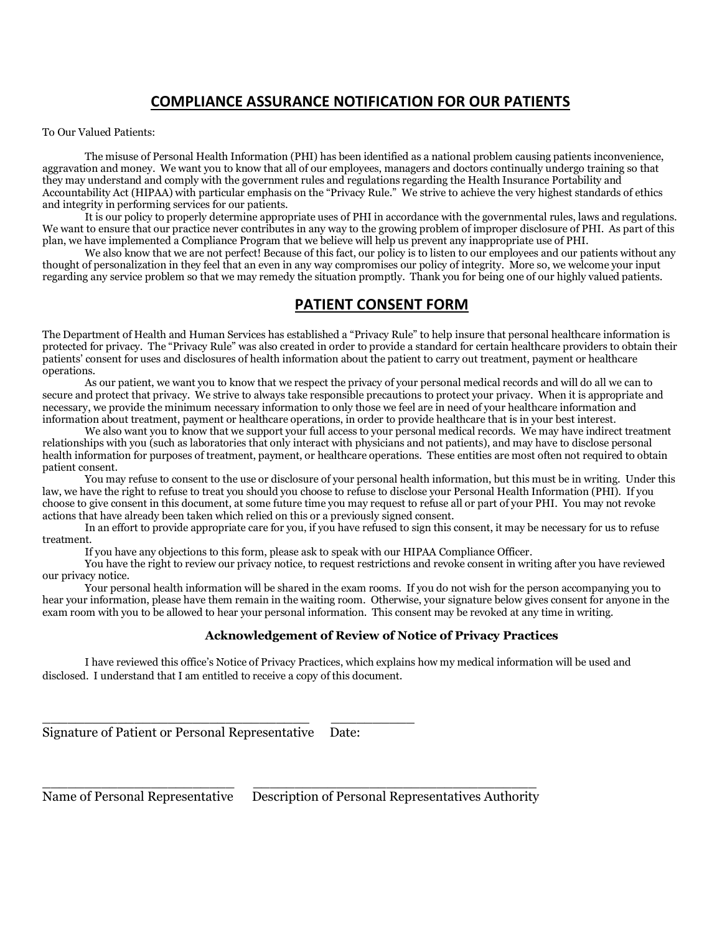# **COMPLIANCE ASSURANCE NOTIFICATION FOR OUR PATIENTS**

To Our Valued Patients:

The misuse of Personal Health Information (PHI) has been identified as a national problem causing patients inconvenience, aggravation and money. We want you to know that all of our employees, managers and doctors continually undergo training so that they may understand and comply with the government rules and regulations regarding the Health Insurance Portability and Accountability Act (HIPAA) with particular emphasis on the "Privacy Rule." We strive to achieve the very highest standards of ethics and integrity in performing services for our patients.

It is our policy to properly determine appropriate uses of PHI in accordance with the governmental rules, laws and regulations. We want to ensure that our practice never contributes in any way to the growing problem of improper disclosure of PHI. As part of this plan, we have implemented a Compliance Program that we believe will help us prevent any inappropriate use of PHI.

We also know that we are not perfect! Because of this fact, our policy is to listen to our employees and our patients without any thought of personalization in they feel that an even in any way compromises our policy of integrity. More so, we welcome your input regarding any service problem so that we may remedy the situation promptly. Thank you for being one of our highly valued patients.

### **PATIENT CONSENT FORM**

The Department of Health and Human Services has established a "Privacy Rule" to help insure that personal healthcare information is protected for privacy. The "Privacy Rule" was also created in order to provide a standard for certain healthcare providers to obtain their patients' consent for uses and disclosures of health information about the patient to carry out treatment, payment or healthcare operations.

As our patient, we want you to know that we respect the privacy of your personal medical records and will do all we can to secure and protect that privacy. We strive to always take responsible precautions to protect your privacy. When it is appropriate and necessary, we provide the minimum necessary information to only those we feel are in need of your healthcare information and information about treatment, payment or healthcare operations, in order to provide healthcare that is in your best interest.

We also want you to know that we support your full access to your personal medical records. We may have indirect treatment relationships with you (such as laboratories that only interact with physicians and not patients), and may have to disclose personal health information for purposes of treatment, payment, or healthcare operations. These entities are most often not required to obtain patient consent.

You may refuse to consent to the use or disclosure of your personal health information, but this must be in writing. Under this law, we have the right to refuse to treat you should you choose to refuse to disclose your Personal Health Information (PHI). If you choose to give consent in this document, at some future time you may request to refuse all or part of your PHI. You may not revoke actions that have already been taken which relied on this or a previously signed consent.

In an effort to provide appropriate care for you, if you have refused to sign this consent, it may be necessary for us to refuse treatment.

If you have any objections to this form, please ask to speak with our HIPAA Compliance Officer.

You have the right to review our privacy notice, to request restrictions and revoke consent in writing after you have reviewed our privacy notice.

Your personal health information will be shared in the exam rooms. If you do not wish for the person accompanying you to hear your information, please have them remain in the waiting room. Otherwise, your signature below gives consent for anyone in the exam room with you to be allowed to hear your personal information. This consent may be revoked at any time in writing.

### **Acknowledgement of Review of Notice of Privacy Practices**

I have reviewed this office's Notice of Privacy Practices, which explains how my medical information will be used and disclosed. I understand that I am entitled to receive a copy of this document.

Signature of Patient or Personal Representative Date:

\_\_\_\_\_\_\_\_\_\_\_\_\_\_\_\_\_\_\_\_\_\_\_\_\_\_\_\_\_\_\_\_ \_\_\_\_\_\_\_\_\_\_

\_\_\_\_\_\_\_\_\_\_\_\_\_\_\_\_\_\_\_\_\_\_\_ \_\_\_\_\_\_\_\_\_\_\_\_\_\_\_\_\_\_\_\_\_\_\_\_\_\_\_\_\_\_\_\_\_\_ Name of Personal Representative Description of Personal Representatives Authority